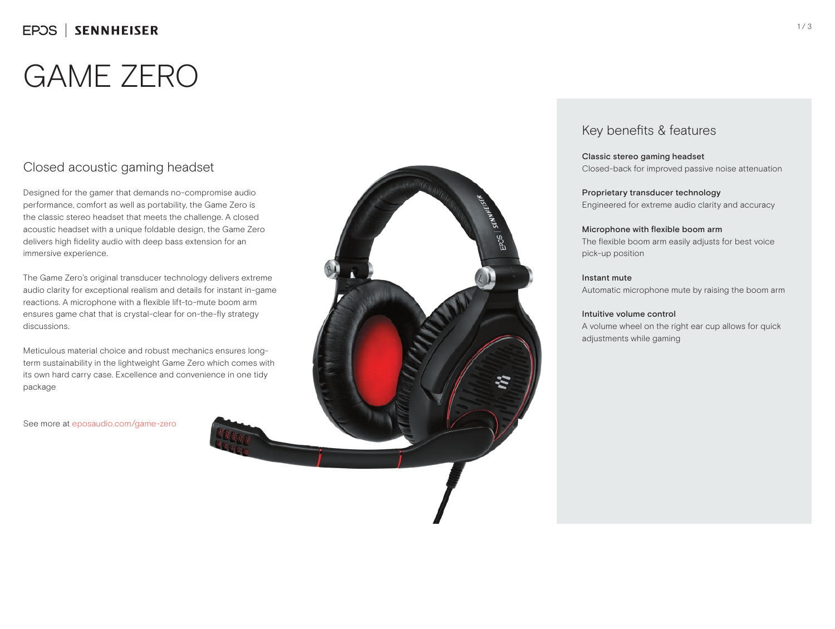# GAME ZERO

## Closed acoustic gaming headset

Designed for the gamer that demands no-compromise audio performance, comfort as well as portability, the Game Zero is the classic stereo headset that meets the challenge. A closed acoustic headset with a unique foldable design, the Game Zero delivers high fidelity audio with deep bass extension for an immersive experience.

The Game Zero's original transducer technology delivers extreme audio clarity for exceptional realism and details for instant in-game reactions. A microphone with a flexible lift-to-mute boom arm ensures game chat that is crystal-clear for on-the-fly strategy discussions.

Meticulous material choice and robust mechanics ensures longterm sustainability in the lightweight Game Zero which comes with its own hard carry case. Excellence and convenience in one tidy package

See more at eposaudio.com/game-zero



### Key benefits & features

Classic stereo gaming headset Closed-back for improved passive noise attenuation

Proprietary transducer technology Engineered for extreme audio clarity and accuracy

### Microphone with flexible boom arm

The flexible boom arm easily adjusts for best voice pick-up position

### Instant mute

Automatic microphone mute by raising the boom arm

### Intuitive volume control

A volume wheel on the right ear cup allows for quick adjustments while gaming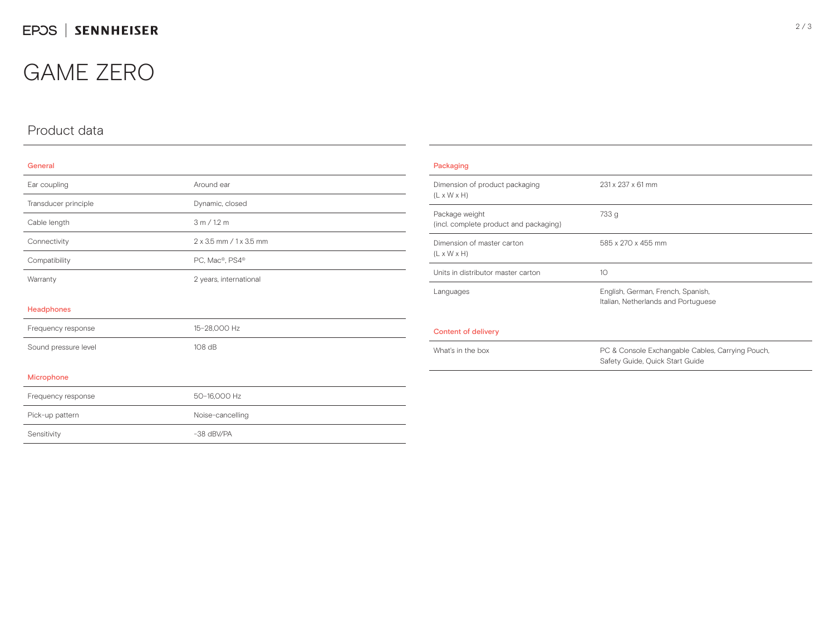## GAME ZERO

### Product data

#### General

| Ear coupling         | Around ear              |
|----------------------|-------------------------|
| Transducer principle | Dynamic, closed         |
| Cable length         | 3 m / 1.2 m             |
| Connectivity         | 2 x 3.5 mm / 1 x 3.5 mm |
| Compatibility        | PC, Mac®, PS4®          |
| Warranty             | 2 years, international  |
| Headphones           |                         |
| Frequency response   | 15-28,000 Hz            |
| Sound pressure level | 108 dB                  |
| Microphone           |                         |
| Frequency response   | 50-16,000 Hz            |
| Pick-up pattern      | Noise-cancelling        |
| Sensitivity          | -38 dBV/PA              |

| Packaging                                                 |                                                                                     |  |
|-----------------------------------------------------------|-------------------------------------------------------------------------------------|--|
| Dimension of product packaging<br>$(L \times W \times H)$ | 231 x 237 x 61 mm                                                                   |  |
| Package weight<br>(incl. complete product and packaging)  | 733 g                                                                               |  |
| Dimension of master carton<br>$(L \times W \times H)$     | 585 x 270 x 455 mm                                                                  |  |
| Units in distributor master carton                        | 10                                                                                  |  |
| Languages                                                 | English, German, French, Spanish,<br>Italian, Netherlands and Portuguese            |  |
| Content of delivery                                       |                                                                                     |  |
| What's in the box                                         | PC & Console Exchangable Cables, Carrying Pouch,<br>Safety Guide, Quick Start Guide |  |